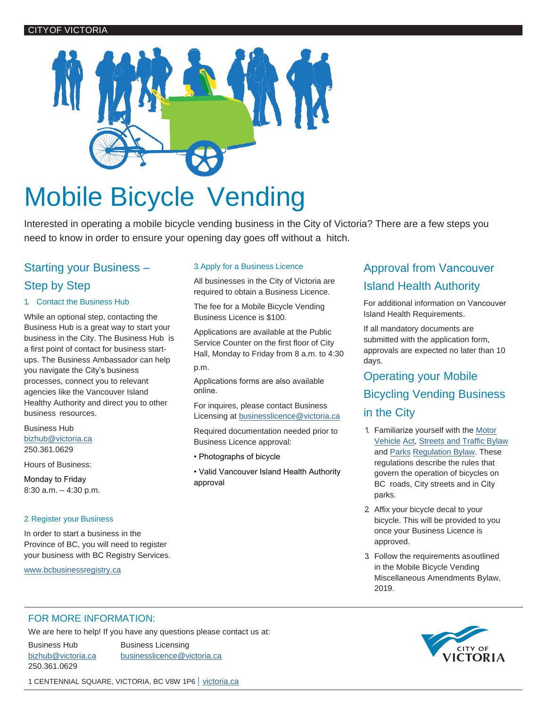

# Mobile Bicycle Vending

Interested in operating a mobile bicycle vending business in the City of Victoria? There are a few steps you need to know in order to ensure your opening day goes off without a hitch.

# Starting your Business – Step by Step

## 1. Contact the Business Hub

While an optional step, contacting the Business Hub is a great way to start your business in the City. The Business Hub is a first point of contact for business startups. The Business Ambassador can help you navigate the City's business processes, connect you to relevant agencies like the Vancouver Island Healthy Authority and direct you to other business resources.

Business Hub [bizhub@victoria.ca](mailto:bizhub@victoria.ca) 250.361.0629

Hours of Business:

Monday to Friday 8:30 a.m. – 4:30 p.m.

# 2. Register your Business

[In order to start a business i](http://www.bcbusinessregistry.ca/)n the Province of BC, you will need to register your business with BC Registry Services.

www.bcbusinessregistry.ca

# 3. Apply for a Business Licence

All businesses in the City of Victoria are required to obtain a Business Licence.

The fee for a Mobile Bicycle Vending Business Licence is \$100.

Applications are available at the Public Service Counter on the first floor of City Hall, Monday to Friday from 8 a.m. to 4:30 p.m.

Applications forms are also available [online](http://www.victoria.ca/EN/main/business/permits-licences/business-licences.html).

For inquires, please contact Business Licensing at [businesslicence@victoria.ca](mailto:businesslicence@victoria.ca)

Required documentation needed prior to Business Licence approval:

• Photographs of bicycle

• Valid Vancouver Island Health Authority approval

# Approval from Vancouver Island Health Authority

For additional information on Vancouver Island Health Requirements.

[If all mandatory docu](mailto:eddie.fung@viha.ca)ments are submitted with the application form, approvals are expected no later than 10 days.

# Operating your Mobile Bicycling Vending Business in the City

- 1. Familiarize yourself with the Motor Vehicle [Act, Streets and Traffic Bylaw](http://www.victoria.ca/assets/Default/Streets%20and%20Traffic%20Bylaw%2009-079%20(consolidated).pdf) [and](http://www.bclaws.ca/civix/document/LOC/complete/statreg/--%20M%20--/47_Motor%20Vehicle%20Act%20%5bRSBC%201996%5d%20c.%20318/00_Act/96318_12.xml) Parks Regulation Bylaw. These [regulations](http://www.victoria.ca/assets/City~Hall/Bylaws/Parks%20Regulation%20Bylaw%2007-059%20(consolidated).pdf) describe the rules that govern the operation of bicycles on BC roads, City streets and in City parks.
- 2. Affix your bicycle decal to your bicycle. This will be provided to you once your Business Licence is approved.
- 3. Follow the requirements asoutlined in the Mobile Bicycle Vending Miscellaneous Amendments Bylaw, 2019.

# FOR MORE INFORMATION:

We are here to help! If you have any questions please contact us at:

250.361.0629

Business Hub Business Licensing [bizhub@victoria.ca](mailto:bizhub@victoria.ca) [businesslicence@victoria.ca](mailto:businesslicence@victoria.ca)



1 CENTENNIAL SQUARE, VICTORIA, BC V8W 1P6 | [victoria.ca](http://www.victoria.ca/)